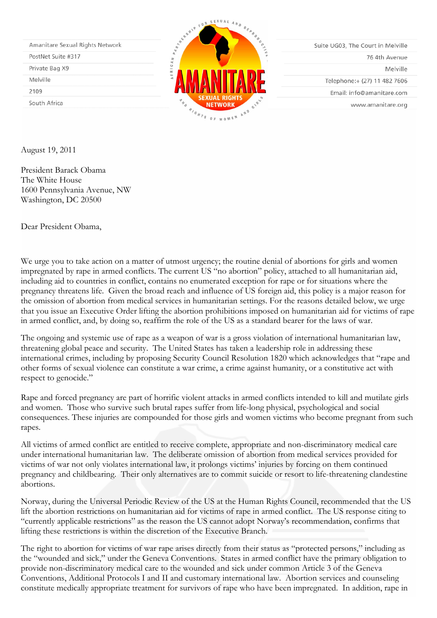| Amanitare Sexual Rights Network |
|---------------------------------|
| PostNet Suite #317              |
| Private Bag X9                  |
| Melville                        |
| 2109                            |
| South Africa                    |



Suite UG03, The Court in Melville 76 4th Avenue Melville Telephone:+ (27) 11 482 7606 Email: info@amanitare.com

www.amanitare.org

August 19, 2011

President Barack Obama The White House 1600 Pennsylvania Avenue, NW Washington, DC 20500

Dear President Obama,

We urge you to take action on a matter of utmost urgency; the routine denial of abortions for girls and women impregnated by rape in armed conflicts. The current US "no abortion" policy, attached to all humanitarian aid, including aid to countries in conflict, contains no enumerated exception for rape or for situations where the pregnancy threatens life. Given the broad reach and influence of US foreign aid, this policy is a major reason for the omission of abortion from medical services in humanitarian settings. For the reasons detailed below, we urge that you issue an Executive Order lifting the abortion prohibitions imposed on humanitarian aid for victims of rape in armed conflict, and, by doing so, reaffirm the role of the US as a standard bearer for the laws of war.

The ongoing and systemic use of rape as a weapon of war is a gross violation of international humanitarian law, threatening global peace and security. The United States has taken a leadership role in addressing these international crimes, including by proposing Security Council Resolution 1820 which acknowledges that "rape and other forms of sexual violence can constitute a war crime, a crime against humanity, or a constitutive act with respect to genocide."

Rape and forced pregnancy are part of horrific violent attacks in armed conflicts intended to kill and mutilate girls and women. Those who survive such brutal rapes suffer from life-long physical, psychological and social consequences. These injuries are compounded for those girls and women victims who become pregnant from such rapes.

All victims of armed conflict are entitled to receive complete, appropriate and non-discriminatory medical care under international humanitarian law. The deliberate omission of abortion from medical services provided for victims of war not only violates international law, it prolongs victims' injuries by forcing on them continued pregnancy and childbearing. Their only alternatives are to commit suicide or resort to life-threatening clandestine abortions.

Norway, during the Universal Periodic Review of the US at the Human Rights Council, recommended that the US lift the abortion restrictions on humanitarian aid for victims of rape in armed conflict. The US response citing to "currently applicable restrictions" as the reason the US cannot adopt Norway's recommendation, confirms that lifting these restrictions is within the discretion of the Executive Branch.

The right to abortion for victims of war rape arises directly from their status as "protected persons," including as the "wounded and sick," under the Geneva Conventions. States in armed conflict have the primary obligation to provide non-discriminatory medical care to the wounded and sick under common Article 3 of the Geneva Conventions, Additional Protocols I and II and customary international law. Abortion services and counseling constitute medically appropriate treatment for survivors of rape who have been impregnated. In addition, rape in